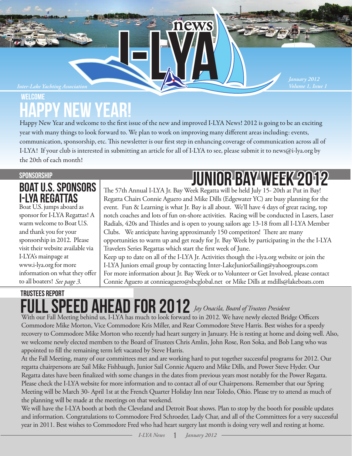#### *Inter-Lake Yachting Association*

## Welcome Happy New Year!

Happy New Year and welcome to the first issue of the new and improved I-LYA News! 2012 is going to be an exciting year with many things to look forward to. We plan to work on improving many different areas including: events, communication, sponsorship, etc. This newsletter is our first step in enhancing coverage of communication across all of I-LYA! If your club is interested in submitting an article for all of I-LYA to see, please submit it to news@i-lya.org by the 20th of each month!

news

#### **SPONSORSHIP**

### BOAT U.S. SPONSORS I-LYA REGATTAS

Boat U.S. jumps aboard as sponsor for I-LYA Regattas! A warm welcome to Boat U.S. and thank you for your sponsorship in 2012. Please visit their website available via I-LYA's mainpage at www.i-lya.org for more information on what they offer to all boaters! *See page 3.*

# junior bay week 2012

*Volume 1, Issue 1 January 2012*

The 57th Annual I-LYA Jr. Bay Week Regatta will be held July 15-20th at Put in Bay! Regatta Chairs Connie Aguero and Mike Dills (Edgewater YC) are busy planning for the event. Fun & Learning is what Jr. Bay is all about. We'll have 4 days of great racing, top notch coaches and lots of fun on-shore activities. Racing will be conducted in Lasers, Laser Radials, 420s and Thistles and is open to young sailors age 13-18 from all I-LYA Member Clubs. We anticipate having approximately 150 competitors! There are many opportunities to warm up and get ready for Jr. Bay Week by participating in the the I-LYA Travelers Series Regattas which start the first week of June.

Keep up to date on all of the I-LYA Jr. Activities though the i-lya.org website or join the I-LYA Juniors email group by contacting Inter-LakeJuniorSailing@yahoogroups.com For more information about Jr. Bay Week or to Volunteer or Get Involved, please contact Connie Aguero at connieaguero@sbcglobal.net or Mike Dills at mdills@lakeboats.com

#### trustees report FULL SPEED AHEAD FOR 2012 *Jay Onacila, Board of Trustees President* With our Fall Meeting behind us, I-LYA has much to look forward to in 2012. We have newly elected Bridge Officers

Commodore Mike Morton, Vice Commodore Kris Miller, and Rear Commodore Steve Harris. Best wishes for a speedy recovery to Commodore Mike Morton who recently had heart surgery in January. He is resting at home and doing well. Also, we welcome newly elected members to the Board of Trustees Chris Amlin, John Rose, Ron Soka, and Bob Lang who was appointed to fill the remaining term left vacated by Steve Harris.

At the Fall Meeting, many of our committees met and are working hard to put together successful programs for 2012. Our regatta chairpersons are Sail Mike Fishbaugh, Junior Sail Connie Aquero and Mike Dills, and Power Steve Hyder. Our Regatta dates have been finalized with some changes in the dates from previous years most notably for the Power Regatta. Please check the I-LYA website for more information and to contact all of our Chairpersons. Remember that our Spring Meeting will be March 30- April 1st at the French Quarter Holiday Inn near Toledo, Ohio. Please try to attend as much of the planning will be made at the meetings on that weekend.

We will have the I-LYA booth at both the Cleveland and Detroit Boat shows. Plan to stop by the booth for possible updates and information. Congratulations to Commodore Fred Schroeder, Lady Char, and all of the Committees for a very successful year in 2011. Best wishes to Commodore Fred who had heart surgery last month is doing very well and resting at home.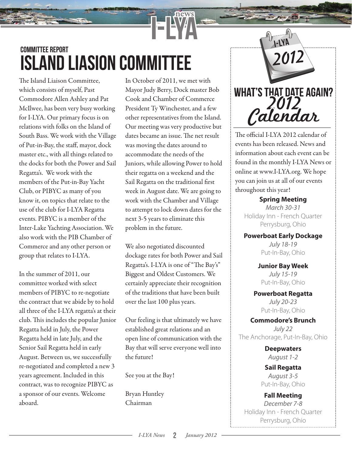## committee report island liasion committee

The Island Liaison Committee, which consists of myself, Past Commodore Allen Ashley and Pat McIlwee, has been very busy working for I-LYA. Our primary focus is on relations with folks on the Island of South Bass. We work with the Village of Put-in-Bay, the staff, mayor, dock master etc., with all things related to the docks for both the Power and Sail Regatta's. We work with the members of the Put-in-Bay Yacht Club, or PIBYC as many of you know it, on topics that relate to the use of the club for I-LYA Regatta events. PIBYC is a member of the Inter-Lake Yachting Association. We also work with the PIB Chamber of Commerce and any other person or group that relates to I-LYA.

In the summer of 2011, our committee worked with select members of PIBYC to re-negotiate the contract that we abide by to hold all three of the I-LYA regatta's at their club. This includes the popular Junior Regatta held in July, the Power Regatta held in late July, and the Senior Sail Regatta held in early August. Between us, we successfully re-negotiated and completed a new 3 years agreement. Included in this contract, was to recognize PIBYC as a sponsor of our events. Welcome aboard.

In October of 2011, we met with Mayor Judy Berry, Dock master Bob Cook and Chamber of Commerce President Ty Winchester, and a few other representatives from the Island. Our meeting was very productive but dates became an issue. The net result was moving the dates around to accommodate the needs of the Juniors, while allowing Power to hold their regatta on a weekend and the Sail Regatta on the traditional first week in August date. We are going to work with the Chamber and Village to attempt to lock down dates for the next 3-5 years to eliminate this problem in the future.

news

We also negotiated discounted dockage rates for both Power and Sail Regatta's. I-LYA is one of "The Bay's" Biggest and Oldest Customers. We certainly appreciate their recognition of the traditions that have been built over the last 100 plus years.

Our feeling is that ultimately we have established great relations and an open line of communication with the Bay that will serve everyone well into the future!

See you at the Bay!

Bryan Huntley Chairman



The official I-LYA 2012 calendar of events has been released. News and information about each event can be found in the monthly I-LYA News or online at www.I-LYA.org. We hope you can join us at all of our events throughout this year!

**Spring Meeting** *March 30-31* Holiday Inn - French Quarter Perrysburg, Ohio

**Powerboat Early Dockage** *July 18-19* Put-In-Bay, Ohio

> **Junior Bay Week** *July 15-19* Put-In-Bay, Ohio

**Powerboat Regatta** *July 20-23* Put-In-Bay, Ohio

**Commodore's Brunch** *July 22* The Anchorage, Put-In-Bay, Ohio

> **Deepwaters** *August 1-2*

**Sail Regatta** *August 3-5* Put-In-Bay, Ohio

**Fall Meeting** *December 7-8* Holiday Inn - French Quarter Perrysburg, Ohio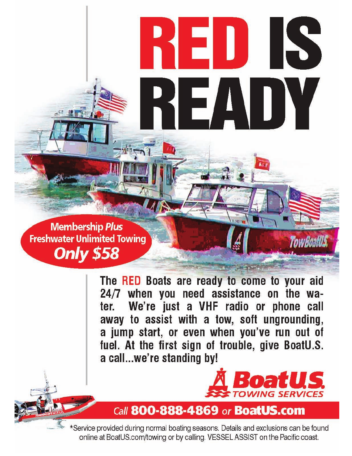**Membership Plus Freshwater Unlimited Towing Only \$58** 

 $P$   $\mathbf{F}$ 

The RED Boats are ready to come to your aid 24/7 when you need assistance on the wa-We're just a VHF radio or phone call ter. away to assist with a tow, soft ungrounding, a jump start, or even when you've run out of fuel. At the first sign of trouble, give BoatU.S. a call...we're standing by!

2D.

 $\vert \, \Xi / \Lambda \, \vert$ 

IS

**TowBoall!** 

IY



## Call 800-888-4869 or BoatUS.com

\*Service provided during normal boating seasons. Details and exclusions can be found online at BoatUS.com/towing or by calling. VESSEL ASSIST on the Pacific coast.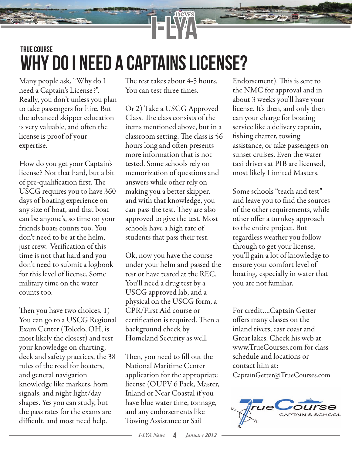## true course Why do i need a captains license?

Many people ask, "Why do I need a Captain's License?". Really, you don't unless you plan to take passengers for hire. But the advanced skipper education is very valuable, and often the license is proof of your expertise.

How do you get your Captain's license? Not that hard, but a bit of pre-qualification first. The USCG requires you to have 360 days of boating experience on any size of boat, and that boat can be anyone's, so time on your friends boats counts too. You don't need to be at the helm, just crew. Verification of this time is not that hard and you don't need to submit a logbook for this level of license. Some military time on the water counts too.

Then you have two choices.  $1)$ You can go to a USCG Regional Exam Center (Toledo, OH, is most likely the closest) and test your knowledge on charting, deck and safety practices, the 38 rules of the road for boaters, and general navigation knowledge like markers, horn signals, and night light/day shapes. Yes you can study, but the pass rates for the exams are difficult, and most need help.

The test takes about 4-5 hours. You can test three times.

Or 2) Take a USCG Approved Class. The class consists of the items mentioned above, but in a classroom setting. The class is 56 hours long and often presents more information that is not tested. Some schools rely on memorization of questions and answers while other rely on making you a better skipper, and with that knowledge, you can pass the test. They are also approved to give the test. Most schools have a high rate of students that pass their test.

Ok, now you have the course under your helm and passed the test or have tested at the REC. You'll need a drug test by a USCG approved lab, and a physical on the USCG form, a CPR/First Aid course or certification is required. Then a background check by Homeland Security as well.

Then, you need to fill out the National Maritime Center application for the appropriate license (OUPV 6 Pack, Master, Inland or Near Coastal if you have blue water time, tonnage, and any endorsements like Towing Assistance or Sail

Endorsement). This is sent to the NMC for approval and in about 3 weeks you'll have your license. It's then, and only then can your charge for boating service like a delivery captain, fishing charter, towing assistance, or take passengers on sunset cruises. Even the water taxi drivers at PIB are licensed, most likely Limited Masters.

Some schools "teach and test" and leave you to find the sources of the other requirements, while other offer a turnkey approach to the entire project. But regardless weather you follow through to get your license, you'll gain a lot of knowledge to ensure your comfort level of boating, especially in water that you are not familiar.

For credit….Captain Getter offers many classes on the inland rivers, east coast and Great lakes. Check his web at www.TrueCourses.com for class schedule and locations or contact him at: CaptainGetter@TrueCourses.com

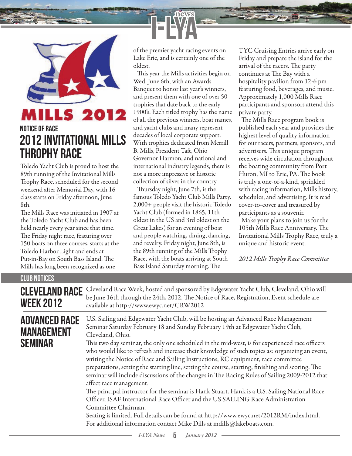

### LLS 2012 notice of race 2012 Invitational mills throphy race

Toledo Yacht Club is proud to host the 89th running of the Invitational Mills Trophy Race, scheduled for the second weekend after Memorial Day, with 16 class starts on Friday afternoon, June 8th.

The Mills Race was initiated in 1907 at the Toledo Yacht Club and has been held nearly every year since that time. The Friday night race, featuring over 150 boats on three courses, starts at the Toledo Harbor Light and ends at Put-in-Bay on South Bass Island. The Mills has long been recognized as one

of the premier yacht racing events on Lake Erie, and is certainly one of the oldest.

news

This year the Mills activities begin on Wed. June 6th, with an Awards Banquet to honor last year's winners, and present them with one of over 50 trophies that date back to the early 1900's. Each titled trophy has the name of all the previous winners, boat names, and yacht clubs and many represent decades of local corporate support. With trophies dedicated from Merrill B. Mills, President Taft, Ohio Governor Harmon, and national and international industry legends, there is not a more impressive or historic collection of silver in the country.

Thursday night, June 7th, is the famous Toledo Yacht Club Mills Party. 2,000+ people visit the historic Toledo Yacht Club (formed in 1865, 11th oldest in the US and 3rd oldest on the Great Lakes) for an evening of boat and people watching, dining, dancing, and revelry. Friday night, June 8th, is the 89th running of the Mills Trophy Race, with the boats arriving at South Bass Island Saturday morning. The

TYC Cruising Entries arrive early on Friday and prepare the island for the arrival of the racers. The party continues at The Bay with a hospitality pavilion from 12-6 pm featuring food, beverages, and music. Approximately 1,000 Mills Race participants and sponsors attend this private party.

The Mills Race program book is published each year and provides the highest level of quality information for our racers, partners, sponsors, and advertisers. This unique program receives wide circulation throughout the boating community from Port Huron, MI to Erie, PA. The book is truly a one-of-a-kind, sprinkled with racing information, Mills history, schedules, and advertising. It is read cover-to-cover and treasured by participants as a souvenir.

 Make your plans to join us for the 105th Mills Race Anniversary. The Invitational Mills Trophy Race, truly a unique and historic event.

*2012 Mills Trophy Race Committee*

| <b>CLUB NOTICES</b>                                         |                                                                                                                                                                                                                                                                                                                                                                                                                                                                                                                                                                                                                                                                                                                                                                                                                                                                                                                                                                                                                                                                                                    |
|-------------------------------------------------------------|----------------------------------------------------------------------------------------------------------------------------------------------------------------------------------------------------------------------------------------------------------------------------------------------------------------------------------------------------------------------------------------------------------------------------------------------------------------------------------------------------------------------------------------------------------------------------------------------------------------------------------------------------------------------------------------------------------------------------------------------------------------------------------------------------------------------------------------------------------------------------------------------------------------------------------------------------------------------------------------------------------------------------------------------------------------------------------------------------|
| <b>CLEVELAND RACE</b><br><b>WEEK 2012</b>                   | Cleveland Race Week, hosted and sponsored by Edgewater Yacht Club, Cleveland, Ohio will<br>be June 16th through the 24th, 2012. The Notice of Race, Registration, Event schedule are<br>available at http://www.ewyc.net/CRW2012                                                                                                                                                                                                                                                                                                                                                                                                                                                                                                                                                                                                                                                                                                                                                                                                                                                                   |
| <b>ADVANCED RACE</b><br><b>MANAGEMENT</b><br><b>SEMINAR</b> | U.S. Sailing and Edgewater Yacht Club, will be hosting an Advanced Race Management<br>Seminar Saturday February 18 and Sunday February 19th at Edgewater Yacht Club,<br>Cleveland, Ohio.<br>This two day seminar, the only one scheduled in the mid-west, is for experienced race officers<br>who would like to refresh and increase their knowledge of such topics as: organizing an event,<br>writing the Notice of Race and Sailing Instructions, RC equipment, race committee<br>preparations, setting the starting line, setting the course, starting, finishing and scoring. The<br>seminar will include discussions of the changes in The Racing Rules of Sailing 2009-2012 that<br>affect race management.<br>The principal instructor for the seminar is Hank Stuart. Hank is a U.S. Sailing National Race<br>Officer, ISAF International Race Officer and the US SAILING Race Administration<br>Committee Chairman.<br>Seating is limited. Full details can be found at http://www.ewyc.net/2012RM/index.html.<br>For additional information contact Mike Dills at mdills@lakeboats.com. |